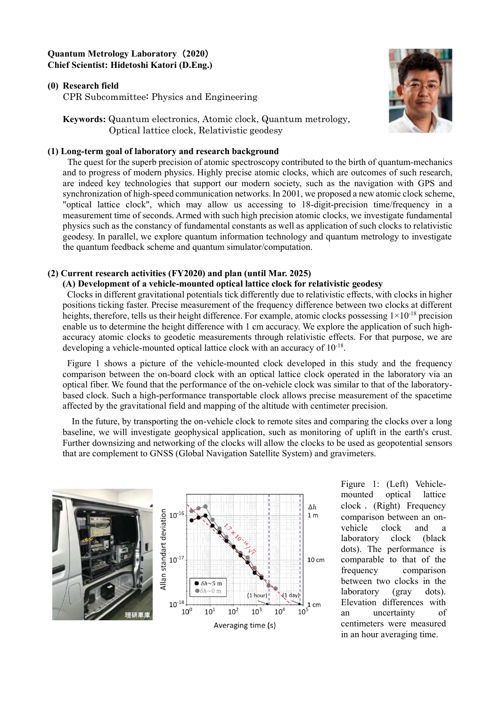# **Quantum Metrology Laboratory** (**2020**) **Chief Scientist: Hidetoshi Katori (D.Eng.)**

## **(0)** Research field

CPR Subcommittee: Physics and Engineering

**Keywords:** Quantum electronics, Atomic clock, Quantum metrology, Optical lattice clock, Relativistic geodesy

### **(1) Long-term goal of laboratory and research background**

The quest for the superb precision of atomic spectroscopy contributed to the birth of quantum-mechanics and to progress of modern physics. Highly precise atomic clocks, which are outcomes of such research, are indeed key technologies that support our modern society, such as the navigation with GPS and synchronization of high-speed communication networks. In 2001, we proposed a new atomic clock scheme, "optical lattice clock", which may allow us accessing to 18-digit-precision time/frequency in a measurement time of seconds. Armed with such high precision atomic clocks, we investigate fundamental physics such as the constancy of fundamental constants as well as application of such clocks to relativistic geodesy. In parallel, we explore quantum information technology and quantum metrology to investigate the quantum feedback scheme and quantum simulator/computation.

## **(2) Current research activities (FY2020) and plan (until Mar. 2025)**

#### **(A) Development of a vehicle-mounted optical lattice clock for relativistic geodesy**

Clocks in different gravitational potentials tick differently due to relativistic effects, with clocks in higher positions ticking faster. Precise measurement of the frequency difference between two clocks at different heights, therefore, tells us their height difference. For example, atomic clocks possessing  $1\times10^{-18}$  precision enable us to determine the height difference with 1 cm accuracy. We explore the application of such highaccuracy atomic clocks to geodetic measurements through relativistic effects. For that purpose, we are developing a vehicle-mounted optical lattice clock with an accuracy of  $10^{-18}$ .

Figure 1 shows a picture of the vehicle-mounted clock developed in this study and the frequency comparison between the on-board clock with an optical lattice clock operated in the laboratory via an optical fiber. We found that the performance of the on-vehicle clock was similar to that of the laboratorybased clock. Such a high-performance transportable clock allows precise measurement of the spacetime affected by the gravitational field and mapping of the altitude with centimeter precision.

In the future, by transporting the on-vehicle clock to remote sites and comparing the clocks over a long baseline, we will investigate geophysical application, such as monitoring of uplift in the earth's crust. Further downsizing and networking of the clocks will allow the clocks to be used as geopotential sensors that are complement to GNSS (Global Navigation Satellite System) and gravimeters.



Figure 1: (Left) Vehiclemounted optical lattice clock . (Right) Frequency comparison between an onvehicle clock and a laboratory clock (black dots). The performance is comparable to that of the frequency comparison between two clocks in the laboratory (gray dots). Elevation differences with an uncertainty of centimeters were measured in an hour averaging time.